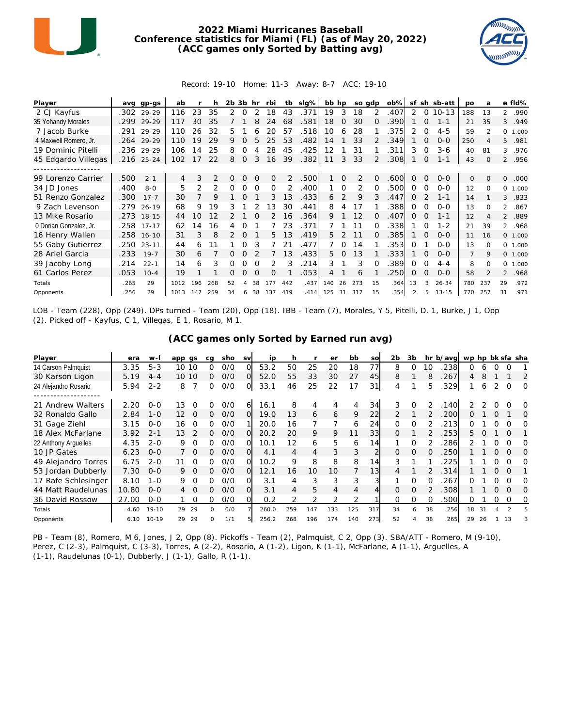

## **2022 Miami Hurricanes Baseball Conference statistics for Miami (FL) (as of May 20, 2022) (ACC games only Sorted by Batting avg)**



## Record: 19-10 Home: 11-3 Away: 8-7 ACC: 19-10

| Player                 | ava  | $qp-gs$    | ab   |     |               | 2b | 3b       | hr       | rbi      | tb  | $slq\%$ | bb hp |          | so adp |          | $ob\%$ | sf       | sh       | sb-att    | po             | a              |                | e fld%  |
|------------------------|------|------------|------|-----|---------------|----|----------|----------|----------|-----|---------|-------|----------|--------|----------|--------|----------|----------|-----------|----------------|----------------|----------------|---------|
| 2 CJ Kayfus            | .302 | 29-29      | 116  | 23  | 35            | 2  | 0        |          | 18       | 43  | .371    | 19    | 3        | 18     | 2        | .407   | 2        | $\circ$  | $10 - 13$ | 188            | 13             | $\overline{2}$ | .990    |
| 35 Yohandy Morales     | .299 | $29 - 29$  | 117  | 30  | 35            |    |          | 8        | 24       | 68  | .581    | 18    | $\Omega$ | 30     | $\Omega$ | .390   |          | $\Omega$ | $1 - 1$   | 21             | 35             | 3              | .949    |
| 7 Jacob Burke          | .291 | 29-29      | 110  | 26  | 32            | 5. |          |          | 20       | 57  | .518    | 10    | 6        | 28     |          | 375    | 2        | 0        | $4 - 5$   | 59             |                |                | 0 1.000 |
| 4 Maxwell Romero, Jr.  | .264 | 29-29      | 110  | 19  | 29            | 9  |          |          | 25       | 53  | .482    | 14    |          | 33     |          | 349    |          | $\Omega$ | $0 - 0$   | 250            | $\overline{A}$ | 5              | .981    |
| 19 Dominic Pitelli     |      | .236 29-29 | 106  | 14  | 25            | 8  | Ω        |          | 28       | 45  | .425    | 12    |          | 31     |          | 311    | 3        | 0        | $3 - 6$   | 40             | 81             | 3              | .976    |
| 45 Edgardo Villegas    | .216 | $25 - 24$  | 102  | 17  | 22            | 8  | 0        | 3        | 16       | 39  | .382    | 11    | 3        | 33     | 2        | .308   |          | 0        | $1 - 1$   | 43             | 0              |                | 2 .956  |
|                        |      |            |      |     |               |    |          |          |          |     |         |       |          |        |          |        |          |          |           |                |                |                |         |
| 99 Lorenzo Carrier     | 500  | $2 - 1$    | 4    | 3   | $\mathcal{P}$ | 0  | $\Omega$ | $\Omega$ | $\Omega$ | 2   | .500    |       | $\Omega$ | 2      | $\Omega$ | .600   | $\Omega$ | $\Omega$ | $0 - 0$   | $\mathbf{O}$   | $\Omega$       | 0              | .000    |
| 34 JD Jones            | .400 | $8 - 0$    | 5    | 2   |               | Ω  | Ω        | 0        | $\Omega$ |     | .400    |       | 0        | 2      | 0        | .500   | 0        | 0        | $0 - 0$   | 12             | $\Omega$       | $\Omega$       | 1.000   |
| 51 Renzo Gonzalez      | .300 | $17 - 7$   | 30   |     | 9             |    |          |          | 3        | 13  | .433    | 6     | 2        | 9      | 3        | .447   | 0        | 2        | $1 - 1$   | 14             |                | 3              | .833    |
| 9 Zach Levenson        | .279 | 26-19      | 68   | 9   | 19            | 3  |          |          | 13       | 30  | .441    | 8     | 4        | 17     |          | 388    | 0        | 0        | $0 - 0$   | 13             | $\Omega$       | $\overline{2}$ | .867    |
| 13 Mike Rosario        | .273 | $18 - 15$  | 44   | ١O  | 12            |    |          |          |          | 16  | .364    | 9     |          | 12     |          | .407   | O        | $\Omega$ | $1 - 1$   | 12             | $\overline{A}$ | $\overline{2}$ | .889    |
| 0 Dorian Gonzalez, Jr. | .258 | $17 - 17$  | 62   | 4   | 16            |    |          |          |          | 23  | .371    |       |          | 11     | 0        | 338    |          | O        | $1 - 2$   | 21             | 39             |                | 2 .968  |
| 16 Henry Wallen        | .258 | $16 - 10$  | 31   | 3   | 8             |    | $\Omega$ |          | 5.       | 13  | .419    | 5     | 2        | 11     | 0        | .385   |          | O        | $0 - 0$   | 11             | 16             |                | 0 1.000 |
| 55 Gaby Gutierrez      | .250 | $23 - 11$  | 44   | 6   |               |    |          |          |          | 21  | .477    |       | O        | 14     |          | 353    | O        |          | $0 - 0$   | 13             | $\Omega$       |                | 0 1.000 |
| 28 Ariel Garcia        | .233 | $19 - 7$   | 30   | 6   |               |    |          |          |          | 13  | .433    | 5.    | $\Omega$ | 13     |          | 333    |          | ∩        | $0 - 0$   | $\overline{7}$ | 9              |                | 0 1.000 |
| 39 Jacoby Long         | .214 | $22 - 1$   | 14   | 6   | 3             | Ω  | Ω        |          |          |     | 214     | 3     |          | 3      | ∩        | 389    | O        | 0        | $4 - 4$   | 8              | $\Omega$       |                | 0 1.000 |
| 61 Carlos Perez        | 053  | $10 - 4$   | 19   |     |               | Ω  | 0        | $\Omega$ | 0        |     | .053    | 4     |          | 6      |          | 250    | $\Omega$ | $\Omega$ | $0 - 0$   | 58             |                |                | 2 .968  |
| Totals                 | .265 | 29         | 1012 | 196 | 268           | 52 |          | 38       | 177      | 442 | .437    | 140   | 26       | 273    | 15       | .364   | 13       | 3        | $26 - 34$ | 780            | 237            | 29             | .972    |
| Opponents              | .256 | 29         | 1013 | 147 | 259           | 34 | 6        | 38       | 137      | 419 | .414    | 125   | 31       | 317    | 15       | .354   | 2        | 5        | $13 - 15$ | 770            | 257            | 31             | .971    |

LOB - Team (228), Opp (249). DPs turned - Team (20), Opp (18). IBB - Team (7), Morales, Y 5, Pitelli, D. 1, Burke, J 1, Opp (2). Picked off - Kayfus, C 1, Villegas, E 1, Rosario, M 1.

| (ACC games only Sorted by Earned run avg) |  |  |  |  |
|-------------------------------------------|--|--|--|--|
|                                           |  |  |  |  |

| Player               | era   | $W - 1$   | app gs |          | ca | sho | <b>SV</b>    | ip    | h   |     | er  | bb  | <b>SO</b>      | 2 <sub>b</sub> | 3b       |          | hr b/avg | wp hp bk sfa sha |                  |          |          |          |
|----------------------|-------|-----------|--------|----------|----|-----|--------------|-------|-----|-----|-----|-----|----------------|----------------|----------|----------|----------|------------------|------------------|----------|----------|----------|
| 14 Carson Palmquist  | 3.35  | $5 - 3$   | 10     | 10       | 0  | 0/0 |              | 53.2  | 50  | 25  | 20  | 18  | 77             | 8              | $\Omega$ | 10       | 238      | 0                | 6                |          | $\Omega$ |          |
| 30 Karson Ligon      | 5.19  | $4 - 4$   | 10 10  |          | 0  | O/O | $\Omega$     | 52.0  | 55  | 33  | 30  | 27  | 45             | 8              |          | 8        | 267      | 4                | 8                |          |          | 2        |
| 24 Alejandro Rosario | 5.94  | $2 - 2$   | 8      |          | 0  | 0/0 | 0l           | 33.1  | 46  | 25  | 22  | 17  | 31             | 4              |          | 5.       | .329     |                  | 6                | 2        | $\Omega$ | $\Omega$ |
|                      |       |           |        |          |    |     |              |       |     |     |     |     |                |                |          |          |          |                  |                  |          |          |          |
| 21 Andrew Walters    | 2.20  | $0 - 0$   | 13     |          |    | 0/0 | 61           | 16.1  | 8   | 4   | 4   | 4   | 34             | 3              | $\Omega$ |          | 140      |                  |                  |          |          | O        |
| 32 Ronaldo Gallo     | 2.84  | $1 - 0$   | 12     | $\Omega$ | 0  | O/O | $\Omega$     | 19.0  | 13  | 6   | 6   | 9   | 22l            |                |          |          | .200     | 0                |                  | $\Omega$ |          | O        |
| 31 Gage Ziehl        | 3.15  | $0 - 0$   | 16     | $\Omega$ | O  | 0/0 |              | 20.0  | 16  |     |     | 6   | 24             | $\Omega$       | ∩        |          | 213      | n                |                  |          |          | Ω        |
| 18 Alex McFarlane    | 3.92  | $2 - 1$   | 13     |          | 0  | O/O | <sup>O</sup> | 20.2  | 20  | 9   | 9   | 11  | 33             | $\Omega$       |          |          | 253      | 5.               | $\left( \right)$ |          | $\Omega$ |          |
| 22 Anthony Arquelles | 4.35  | $2 - 0$   | 9      | $\Omega$ | ∩  | 0/0 | ΩI           | 10.1  | 12  | 6   | 5   | 6   | 14             |                | $\Omega$ |          | 286      |                  |                  |          | ∩        | O        |
| 10 JP Gates          | 6.23  | $0 - 0$   |        | $\Omega$ | 0  | 0/0 | O.           | 4.1   | 4   | 4   | 3   | 3   | $\overline{2}$ | $\Omega$       | $\Omega$ | $\Omega$ | 250      |                  |                  | 0        | $\Omega$ | 0        |
| 49 Alejandro Torres  | 6.75  | $2 - 0$   |        | $\Omega$ |    | 0/0 | O            | 10.2  | 9   | 8   | 8   | 8   | 14             | 3              |          |          | 225      |                  |                  |          | ∩        | Ω        |
| 53 Jordan Dubberly   | 7.30  | $O - O$   | 9      | $\Omega$ | 0  | O/O | $\Omega$     | 12.1  | 16  | 10  | 10  |     | 13             | 4              |          |          | 314      |                  |                  | Ω        | O        |          |
| 17 Rafe Schlesinger  | 8.10  | 1-0       | 9      | $\Omega$ |    | O/O | O.           | 3.1   | 4   | 3   | 3   | 3   | 3              |                | $\Omega$ |          | 267      |                  |                  |          |          | Ω        |
| 44 Matt Raudelunas   | 10.80 | $0 - 0$   | 4      |          | 0  | O/O | $\Omega$     | 3.1   | 4   | 5   | 4   | 4   |                | $\Omega$       | $\Omega$ |          | 308      |                  |                  |          | $\Omega$ | O        |
| 36 David Rossow      | 27.00 | $0 - 0$   |        | 0        |    | O/O | O            | 0.2   |     | 2   | 2   | 2   |                | $\Omega$       | O        |          | .500     | Ω                |                  |          | O        | O        |
| Totals               | 4.60  | $19 - 10$ | 29     | 29       | O  | O/O |              | 260.0 | 259 | 147 | 133 | 125 | 317            | 34             | 6        | 38       | .256     | 18               | -31              |          |          | 5        |
| Opponents            | 6.10  | $10 - 19$ | 29     | 29       |    | 1/1 |              | 256.2 | 268 | 196 | 174 | 140 | 273            | 52             |          | 38       | 265      | 29               | 26               |          | 13       | 3        |

PB - Team (8), Romero, M 6, Jones, J 2, Opp (8). Pickoffs - Team (2), Palmquist, C 2, Opp (3). SBA/ATT - Romero, M (9-10), Perez, C (2-3), Palmquist, C (3-3), Torres, A (2-2), Rosario, A (1-2), Ligon, K (1-1), McFarlane, A (1-1), Arguelles, A (1-1), Raudelunas (0-1), Dubberly, J (1-1), Gallo, R (1-1).